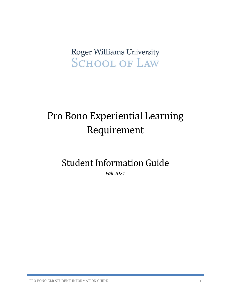# **Roger Williams University SCHOOL OF LAW**

# Pro Bono Experiential Learning Requirement

Student Information Guide

*Fall 2021*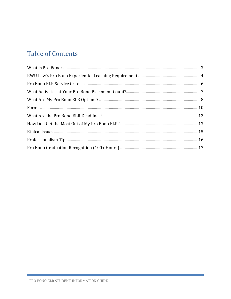# **Table of Contents**

Ξ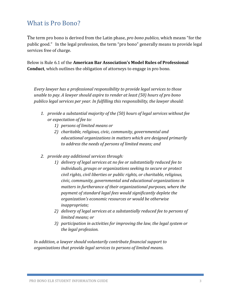### <span id="page-2-0"></span>What is Pro Bono?

The term pro bono is derived from the Latin phase, *pro bono publico*, which means "for the public good." In [the legal profession,](http://legalcareers.about.com/od/careerprofiles/tp/Legal-Profession-Rewards.htm) the term "pro bono" generally means to provide legal services free of charge.

Below is Rule 6.1 of the **[American Bar Association's Model Rules of Professional](http://www.abanet.org/cpr/mrpc/mrpc_toc.html)  [Conduct](http://www.abanet.org/cpr/mrpc/mrpc_toc.html)**, which outlines the obligation of attorneys to engage in pro bono.

*Every lawyer has a professional responsibility to provide legal services to those unable to pay. A lawyer should aspire to render at least (50) hours of pro bono publico legal services per year. In fulfilling this responsibility, the lawyer should:*

- *1. provide a substantial majority of the (50) hours of legal services without fee or expectation of fee to:*
	- *1) persons of limited means or*
	- *2) charitable, religious, civic, community, governmental and educational organizations in matters which are designed primarily to address the needs of persons of limited means; and*
- *2. provide any additional services through:*
	- *1) delivery of legal services at no fee or substantially reduced fee to individuals, groups or organizations seeking to secure or protect civil rights, civil liberties or public rights, or charitable, religious, civic, community, governmental and educational organizations in matters in furtherance of their organizational purposes, where the payment of standard legal fees would significantly deplete the organization's economic resources or would be otherwise inappropriate;*
	- *2) delivery of legal services at a substantially reduced fee to persons of limited means; or*
	- *3) participation in activities for improving the law, the legal system or the legal profession.*

*In addition, a lawyer should voluntarily contribute financial support to organizations that provide legal services to persons of limited means.*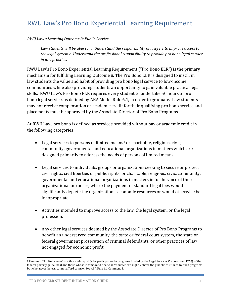# <span id="page-3-0"></span>RWU Law's Pro Bono Experiential Learning Requirement

*RWU Law's Learning Outcome 8: Public Service*

*Law students will be able to: a. Understand the responsibility of lawyers to improve access to the legal system b. Understand the professional responsibility to provide pro bono legal service in law practice.*

RWU Law's Pro Bono Experiential Learning Requirement ("Pro Bono ELR") is the primary mechanism for fulfilling Learning Outcome 8. The Pro Bono ELR is designed to instill in law students the value and habit of providing pro bono legal service to low-income communities while also providing students an opportunity to gain valuable practical legal skills. RWU Law's Pro Bono ELR requires every student to undertake 50 hours of pro bono legal service, as defined by ABA Model Rule 6.1, in order to graduate. Law students may not receive compensation or academic credit for their qualifying pro bono service and placements must be approved by the Associate Director of Pro Bono Programs.

At RWU Law, pro bono is defined as services provided without pay or academic credit in the following categories:

- Legal services to persons of limited means<sup>1</sup> or charitable, religious, civic, community, governmental and educational organizations in matters which are designed primarily to address the needs of persons of limited means.
- Legal services to individuals, groups or organizations seeking to secure or protect civil rights, civil liberties or public rights, or charitable, religious, civic, community, governmental and educational organizations in matters in furtherance of their organizational purposes, where the payment of standard legal fees would significantly deplete the organization's economic resources or would otherwise be inappropriate.
- Activities intended to improve access to the law, the legal system, or the legal profession.
- Any other legal services deemed by the Associate Director of Pro Bono Programs to benefit an underserved community, the state or federal court system, the state or federal government prosecution of criminal defendants, or other practices of law not engaged for economic profit.

 $\overline{\phantom{a}}$ 

<span id="page-3-1"></span><sup>&</sup>lt;sup>1</sup> Persons of "limited means" are those who qualify for participation in programs funded by the Legal Services Corporation (125% of the federal poverty guidelines) and those whose incomes and financial resources are slightly above the guidelines utilized by such programs but who, nevertheless, cannot afford counsel. See ABA Rule 6.1 Comment 3.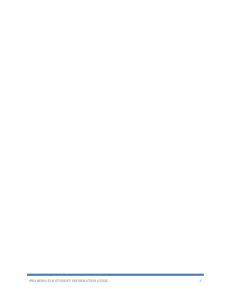Ξ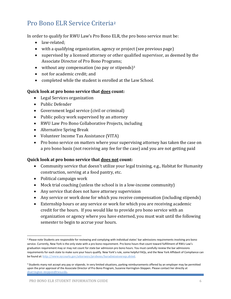# <span id="page-5-0"></span>Pro Bono ELR Service Criteria**[2](#page-5-1)**

In order to qualify for RWU Law's Pro Bono ELR, the pro bono service must be:

- law-related;
- with a qualifying organization, agency or project (see previous page)
- supervised by a licensed attorney or other qualified supervisor, as deemed by the Associate Director of Pro Bono Programs;
- without any compensation (no pay or stipends) $3$
- not for academic credit; and
- completed while the student is enrolled at the Law School.

#### **Quick look at pro bono service that does count:**

- Legal Services organization
- Public Defender
- Government legal service (civil or criminal)
- Public policy work supervised by an attorney
- RWU Law Pro Bono Collaborative Projects, including
- Alternative Spring Break
- Volunteer Income Tax Assistance (VITA)
- Pro bono service on matters where your supervising attorney has taken the case on a pro bono basis (not receiving any fee for the case) and you are not getting paid

#### **Quick look at pro bono service that does not count:**

- Community service that doesn't utilize your legal training, e.g., Habitat for Humanity construction, serving at a food pantry, etc.
- Political campaign work

 $\overline{a}$ 

- Mock trial coaching (unless the school is in a low-income community)
- Any service that does not have attorney supervision
- Any service or work done for which you receive compensation (including stipends)
- Externship hours or any service or work for which you are receiving academic credit for the hours. If you would like to provide pro bono service with an organization or agency where you have externed, you must wait until the following semester to begin to accrue your hours.

<span id="page-5-1"></span><sup>&</sup>lt;sup>2</sup> Please note Students are responsible for reviewing and complying with individual states' bar admissions requirements involving pro bono service. Currently, New York is the only state with a pro bono requirement. Pro bono hours that count toward fulfillment of RWU Law's graduation requirement may or may not count for state bar admission pro bono hours. You must carefully review the bar admissions requirements for each state to make sure your hours qualify. New York's rule, some helpful FAQs, and the New York Affidavit of Compliance can be found at: <http://www.nycourts.gov/attorneys/probono/baradmissionreqs.shtml>.

<span id="page-5-2"></span><sup>&</sup>lt;sup>3</sup> Students many not accept any pay or stipends. In very limited situations, parking reimbursements offered by an employer may be permitted upon the prior approval of the Associate Director of Pro Bono Program, Suzanne Harrington-Steppen. Please contact her directly at [sharrington-steppen@rwu.edu](mailto:sharrington-steppen@rwu.edu).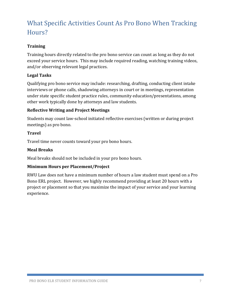# <span id="page-6-0"></span>What Specific Activities Count As Pro Bono When Tracking Hours?

#### **Training**

Training hours directly related to the pro bono service can count as long as they do not exceed your service hours. This may include required reading, watching training videos, and/or observing relevant legal practices.

#### **Legal Tasks**

Qualifying pro bono service may include: researching, drafting, conducting client intake interviews or phone calls, shadowing attorneys in court or in meetings, representation under state specific student practice rules, community education/presentations, among other work typically done by attorneys and law students.

#### **Reflective Writing and Project Meetings**

Students may count law-school initiated reflective exercises (written or during project meetings) as pro bono.

#### **Travel**

Travel time never counts toward your pro bono hours.

#### **Meal Breaks**

Meal breaks should not be included in your pro bono hours.

#### **Minimum Hours per Placement/Project**

RWU Law does not have a minimum number of hours a law student must spend on a Pro Bono ERL project. However, we highly recommend providing at least 20 hours with a project or placement so that you maximize the impact of your service and your learning experience.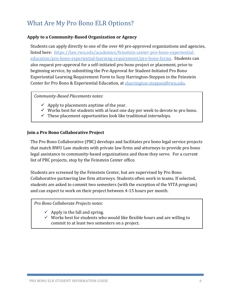# <span id="page-7-0"></span>What Are My Pro Bono ELR Options?

#### **Apply to a Community-Based Organization or Agency**

Students can apply directly to one of the over 40 pre-approved organizations and agencies, listed here: [https://law.rwu.edu/academics/feinstein-center-pro-bono-experiential](https://law.rwu.edu/academics/feinstein-center-pro-bono-experiential-education/pro-bono-experiential-learning-requirement/pro-bono-forms)[education/pro-bono-experiential-learning-requirement/pro-bono-forms](https://law.rwu.edu/academics/feinstein-center-pro-bono-experiential-education/pro-bono-experiential-learning-requirement/pro-bono-forms). Students can also request pre-approval for a self-initiated pro bono project or placement, prior to beginning service, by submitting the Pre-Approval for Student-Initiated Pro Bono Experiential Learning Requirement Form to Suzy Harrington-Steppen in the Feinstein Center for Pro Bono & Experiential Education, at [sharrington-steppen@rwu.edu.](file://rwshared/Law%20Feinstein%20Center%20RWU_S$/Shared/PRO%20BONO%20ELR/Forms%20&%20Guide/sharrington-steppen@rwu.edu)

*Community-Based Placements notes:*

- $\checkmark$  Apply to placements anytime of the year.
- $\checkmark$  Works best for students with at least one day per week to devote to pro bono.
- $\checkmark$  These placement opportunities look like traditional internships.

#### **Join a Pro Bono Collaborative Project**

The Pro Bono Collaborative (PBC) develops and facilitates pro bono legal service projects that match RWU Law students with private law firms and attorneys to provide pro bono legal assistance to community-based organizations and those they serve. For a current list of PBC projects, stop by the Feinstein Center office.

Students are screened by the Feinstein Center, but are supervised by Pro Bono Collaborative partnering law firm attorneys. Students often work in teams. If selected, students are asked to commit two semesters (with the exception of the VITA program) and can expect to work on their project between 4-15 hours per month.

*Pro Bono Collaborate Projects notes:*

- $\checkmark$  Apply in the fall and spring.
- $\checkmark$  Works best for students who would like flexible hours and are willing to commit to at least two semesters on a project.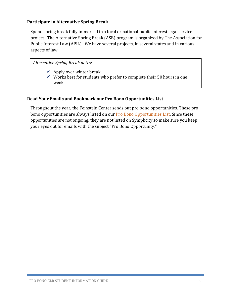#### **Participate in Alternative Spring Break**

Spend spring break fully immersed in a local or national public interest legal service project. The Alternative Spring Break (ASB) program is organized by The Association for Public Interest Law (APIL). We have several projects, in several states and in various aspects of law.

*Alternative Spring Break notes:*

- $\checkmark$  Apply over winter break.
- $\checkmark$  Works best for students who prefer to complete their 50 hours in one week.

#### **Read Your Emails and Bookmark our Pro Bono Opportunities List**

Throughout the year, the Feinstein Center sends out pro bono opportunities. These pro bono opportunities are always listed on our [Pro Bono Opportunities](https://docs.google.com/document/d/1xKbOTCXN_1OXZA_aKie6wJhaHLLgjhwUp_gV6XnHbGw/edit?usp=sharing) List. Since these opportunities are not ongoing, they are not listed on Symplicity so make sure you keep your eyes out for emails with the subject "Pro Bono Opportunity."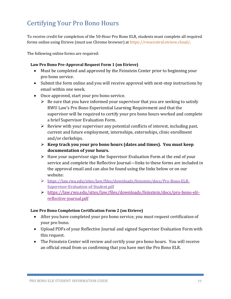# <span id="page-9-0"></span>Certifying Your Pro Bono Hours

To receive credit for completion of the 50-Hour Pro Bono ELR, students must complete all required forms online using Etrieve (must use Chrome browser) a[t https://rwucentral.etrieve.cloud/.](https://rwucentral.etrieve.cloud/)

The following online forms are required:

#### **Law Pro Bono Pre-Approval Request Form 1 (on Etrieve)**

- Must be completed and approved by the Feinstein Center prior to beginning your pro bono service.
- Submit the form online and you will receive approval with next-step instructions by email within one week.
- Once approved, start your pro bono service.
	- $\triangleright$  Be sure that you have informed your supervisor that you are seeking to satisfy RWU Law's Pro Bono Experiential Learning Requirement and that the supervisor will be required to certify your pro bono hours worked and complete a brief Supervisor Evaluation Form.
	- $\triangleright$  Review with your supervisor any potential conflicts of interest, including past, current and future employment, internships, externships, clinic enrollment and/or clerkships.
	- **Keep track you your pro bono hours (dates and times). You must keep documentation of your hours.**
	- $\triangleright$  Have your supervisor sign the Supervisor Evaluation Form at the end of your service and complete the Reflective Journal—links to these forms are included in the approval email and can also be found using the links below or on our website:
	- [https://law.rwu.edu/sites/law/files/downloads/feinstein/docs/Pro-Bono-ELR-](https://law.rwu.edu/sites/law/files/downloads/feinstein/docs/Pro-Bono-ELR-Supervisor-Evaluation-of-Student.pdf)[Supervisor-Evaluation-of-Student.pdf](https://law.rwu.edu/sites/law/files/downloads/feinstein/docs/Pro-Bono-ELR-Supervisor-Evaluation-of-Student.pdf)
	- [https://law.rwu.edu/sites/law/files/downloads/feinstein/docs/pro-bono-elr](https://law.rwu.edu/sites/law/files/downloads/feinstein/docs/pro-bono-elr-reflective-journal.pdf)[reflective-journal.pdf](https://law.rwu.edu/sites/law/files/downloads/feinstein/docs/pro-bono-elr-reflective-journal.pdf)

#### **Law Pro Bono Completion Certification Form 2 (on Etrieve)**

- After you have completed your pro bono service, you must request certification of your pro bono.
- Upload PDFs of your Reflective Journal and signed Supervisor Evaluation Form with this request.
- The Feinstein Center will review and certify your pro bono hours. You will receive an official email from us confirming that you have met the Pro Bono ELR.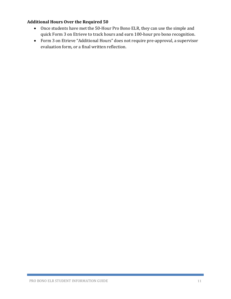#### **Additional Hours Over the Required 50**

- Once students have met the 50-Hour Pro Bono ELR, they can use the simple and quick Form 3 on Etrieve to track hours and earn 100-hour pro bono recognition.
- Form 3 on Etrieve "Additional Hours" does not require pre-approval, a supervisor evaluation form, or a final written reflection.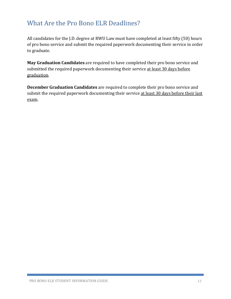# <span id="page-11-0"></span>What Are the Pro Bono ELR Deadlines?

All candidates for the J.D. degree at RWU Law must have completed at least fifty (50) hours of pro bono service and submit the required paperwork documenting their service in order to graduate.

**May Graduation Candidates** are required to have completed their pro bono service and submitted the required paperwork documenting their service at least 30 days before graduation.

**December Graduation Candidates** are required to complete their pro bono service and submit the required paperwork documenting their service at least 30 days before their last exam.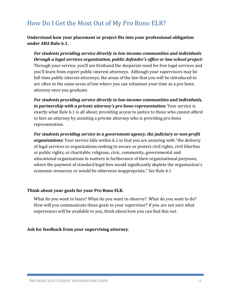# <span id="page-12-0"></span>How Do I Get the Most Out of My Pro Bono ELR?

**Understand how your placement or project fits into your professional obligation under ABA Rule 6.1.**

*For students providing service directly to low-income communities and individuals through a legal services organization, public defender's office or law school project*: Through your service, you'll see firsthand the desperate need for free legal services and you'll learn from expert public interest attorneys. Although your supervisors may be full-time public interest attorneys, the areas of the law that you will be introduced to are often in the same areas of law where you can volunteer your time as a pro bono attorney once you graduate.

*For students providing service directly to low-income communities and individuals, in partnership with a private attorney's pro bono representation:* Your service is exactly what Rule 6.1 is all about; providing access to justice to those who cannot afford to hire an attorney by assisting a private attorney who is providing pro bono representation.

*For students providing service to a government agency, the judiciary or non-profit organizations:* Your service falls within 6.1 in that you are assisting with "the delivery of legal services to organizations seeking to secure or protect civil rights, civil liberties or public rights, or charitable, religious, civic, community, governmental and educational organizations in matters in furtherance of their organizational purposes, where the payment of standard legal fees would significantly deplete the organization's economic resources or would be otherwise inappropriate." *See* Rule 6.1

#### **Think about your goals for your Pro Bono ELR.**

What do you want to learn? What do you want to observe? What do you want to do? How will you communicate these goals to your supervisor? If you are not sure what experiences will be available to you, think about how you can find this out.

#### **Ask for feedback from your supervising attorney.**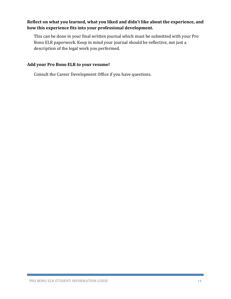#### **Reflect on what you learned, what you liked and didn't like about the experience, and how this experience fits into your professional development.**

This can be done in your final written journal which must be submitted with your Pro Bono ELR paperwork. Keep in mind your journal should be reflective, not just a description of the legal work you performed.

#### **Add your Pro Bono ELR to your resume!**

Consult the Career Development Office if you have questions.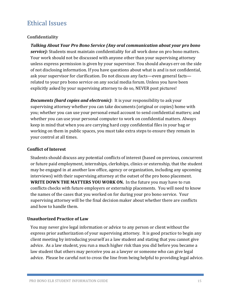# <span id="page-14-0"></span>Ethical Issues

#### **Confidentiality**

*Talking About Your Pro Bono Service (Any oral communication about your pro bono service):* Students must maintain confidentiality for all work done on pro bono matters. Your work should not be discussed with anyone other than your supervising attorney unless express permission is given by your supervisor. You should always err on the side of not disclosing information. If you have questions about what is and is not confidential, ask your supervisor for clarification. Do not discuss any facts—even general facts related to your pro bono service on any social media forum. Unless you have been explicitly asked by your supervising attorney to do so, NEVER post pictures!

*Documents (hard copies and electronic)*: It is your responsibility to ask your supervising attorney whether you can take documents (original or copies) home with you; whether you can use your personal email account to send confidential matters; and whether you can use your personal computer to work on confidential matters. Always keep in mind that when you are carrying hard copy confidential files in your bag or working on them in public spaces, you must take extra steps to ensure they remain in your control at all times.

#### **Conflict of Interest**

Students should discuss any potential conflicts of interest (based on previous, concurrent or future paid employment, internships, clerkships, clinics or externship, that the student may be engaged in at another law office, agency or organization, including any upcoming interviews) with their supervising attorney at the outset of the pro bono placement. **WRITE DOWN THE MATTERS YOU WORK ON.** In the future you may have to run conflicts checks with future employers or externship placements. You will need to know the names of the cases that you worked on for during your pro bono service. Your supervising attorney will be the final decision maker about whether there are conflicts and how to handle them.

#### **Unauthorized Practice of Law**

You may never give legal information or advice to any person or client without the express prior authorization of your supervising attorney. It is good practice to begin any client meeting by introducing yourself as a law student and stating that you cannot give advice. As a law student, you run a much higher risk than you did before you became a law student that others may perceive you as a lawyer or someone who can give legal advice. Please be careful not to cross the line from being helpful to providing legal advice.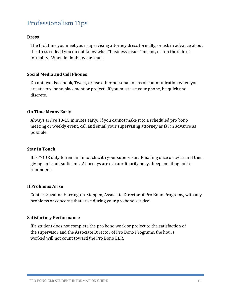# <span id="page-15-0"></span>Professionalism Tips

#### **Dress**

The first time you meet your supervising attorney dress formally, or ask in advance about the dress code. If you do not know what "business casual" means, err on the side of formality. When in doubt, wear a suit.

#### **Social Media and Cell Phones**

Do not text, Facebook, Tweet, or use other personal forms of communication when you are at a pro bono placement or project. If you must use your phone, be quick and discrete.

#### **On Time Means Early**

Always arrive 10-15 minutes early. If you cannot make it to a scheduled pro bono meeting or weekly event, call and email your supervising attorney as far in advance as possible.

#### **Stay In Touch**

It is YOUR duty to remain in touch with your supervisor. Emailing once or twice and then giving up is not sufficient. Attorneys are extraordinarily busy. Keep emailing polite reminders.

#### **If Problems Arise**

Contact Suzanne Harrington-Steppen, Associate Director of Pro Bono Programs, with any problems or concerns that arise during your pro bono service.

#### **Satisfactory Performance**

If a student does not complete the pro bono work or project to the satisfaction of the supervisor and the Associate Director of Pro Bono Programs, the hours worked will not count toward the Pro Bono ELR.